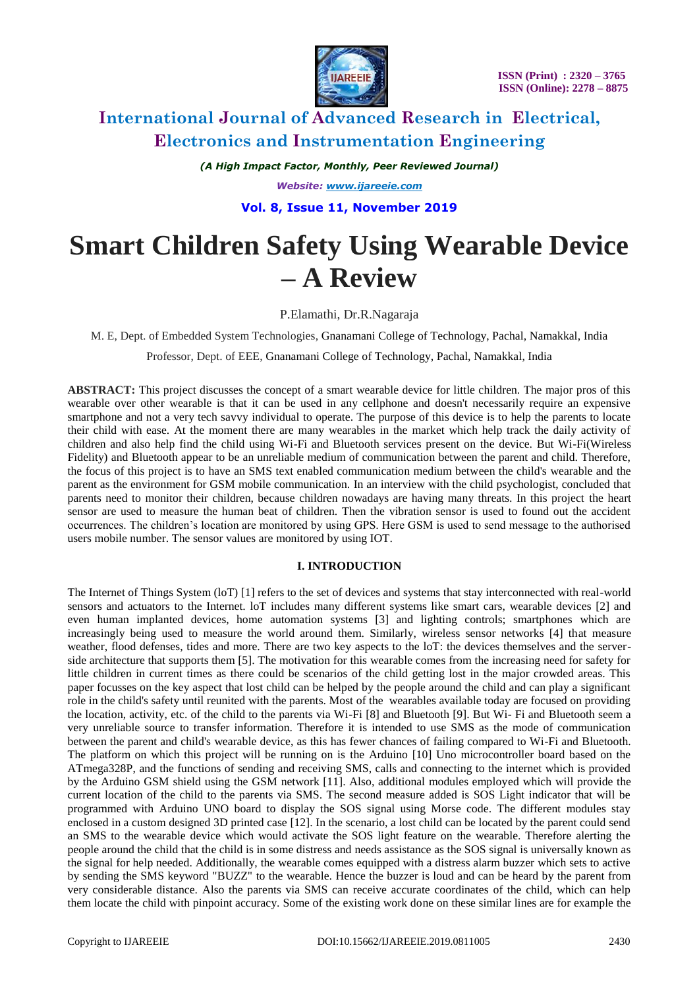

*(A High Impact Factor, Monthly, Peer Reviewed Journal) Website: [www.ijareeie.com](http://www.ijareeie.com/)* **Vol. 8, Issue 11, November 2019**

# **Smart Children Safety Using Wearable Device – A Review**

P.Elamathi, Dr.R.Nagaraja

M. E, Dept. of Embedded System Technologies, Gnanamani College of Technology, Pachal, Namakkal, India

Professor, Dept. of EEE, Gnanamani College of Technology, Pachal, Namakkal, India

**ABSTRACT:** This project discusses the concept of a smart wearable device for little children. The major pros of this wearable over other wearable is that it can be used in any cellphone and doesn't necessarily require an expensive smartphone and not a very tech savvy individual to operate. The purpose of this device is to help the parents to locate their child with ease. At the moment there are many wearables in the market which help track the daily activity of children and also help find the child using Wi-Fi and Bluetooth services present on the device. But Wi-Fi(Wireless Fidelity) and Bluetooth appear to be an unreliable medium of communication between the parent and child. Therefore, the focus of this project is to have an SMS text enabled communication medium between the child's wearable and the parent as the environment for GSM mobile communication. In an interview with the child psychologist, concluded that parents need to monitor their children, because children nowadays are having many threats. In this project the heart sensor are used to measure the human beat of children. Then the vibration sensor is used to found out the accident occurrences. The children's location are monitored by using GPS. Here GSM is used to send message to the authorised users mobile number. The sensor values are monitored by using IOT.

### **I. INTRODUCTION**

The Internet of Things System (loT) [1] refers to the set of devices and systems that stay interconnected with real-world sensors and actuators to the Internet. loT includes many different systems like smart cars, wearable devices [2] and even human implanted devices, home automation systems [3] and lighting controls; smartphones which are increasingly being used to measure the world around them. Similarly, wireless sensor networks [4] that measure weather, flood defenses, tides and more. There are two key aspects to the loT: the devices themselves and the serverside architecture that supports them [5]. The motivation for this wearable comes from the increasing need for safety for little children in current times as there could be scenarios of the child getting lost in the major crowded areas. This paper focusses on the key aspect that lost child can be helped by the people around the child and can play a significant role in the child's safety until reunited with the parents. Most of the wearables available today are focused on providing the location, activity, etc. of the child to the parents via Wi-Fi [8] and Bluetooth [9]. But Wi- Fi and Bluetooth seem a very unreliable source to transfer information. Therefore it is intended to use SMS as the mode of communication between the parent and child's wearable device, as this has fewer chances of failing compared to Wi-Fi and Bluetooth. The platform on which this project will be running on is the Arduino [10] Uno microcontroller board based on the ATmega328P, and the functions of sending and receiving SMS, calls and connecting to the internet which is provided by the Arduino GSM shield using the GSM network [11]. Also, additional modules employed which will provide the current location of the child to the parents via SMS. The second measure added is SOS Light indicator that will be programmed with Arduino UNO board to display the SOS signal using Morse code. The different modules stay enclosed in a custom designed 3D printed case [12]. In the scenario, a lost child can be located by the parent could send an SMS to the wearable device which would activate the SOS light feature on the wearable. Therefore alerting the people around the child that the child is in some distress and needs assistance as the SOS signal is universally known as the signal for help needed. Additionally, the wearable comes equipped with a distress alarm buzzer which sets to active by sending the SMS keyword "BUZZ" to the wearable. Hence the buzzer is loud and can be heard by the parent from very considerable distance. Also the parents via SMS can receive accurate coordinates of the child, which can help them locate the child with pinpoint accuracy. Some of the existing work done on these similar lines are for example the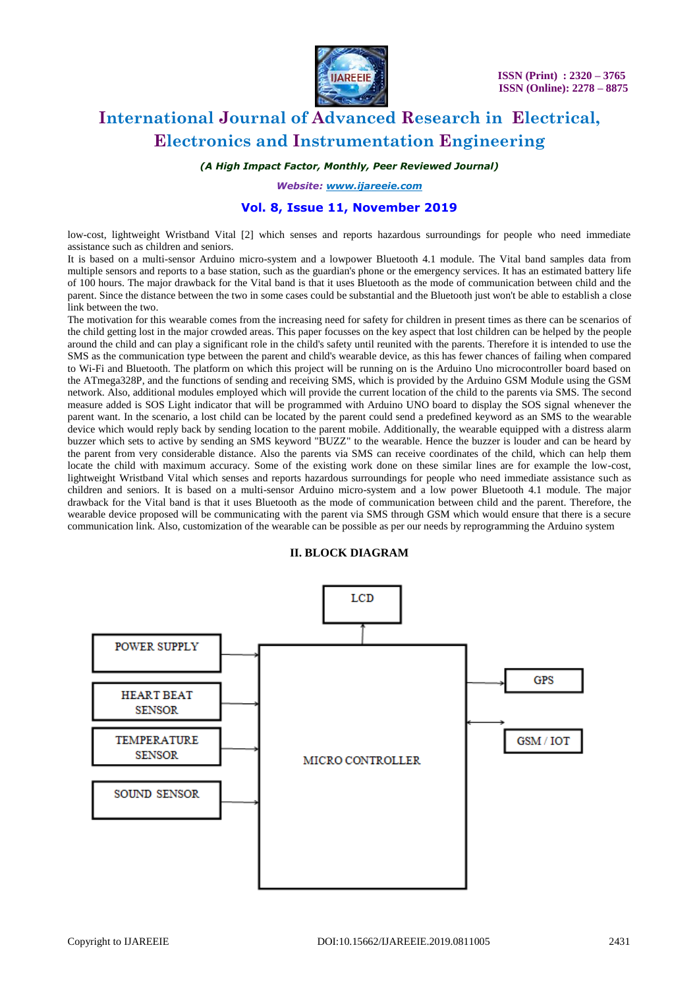

*(A High Impact Factor, Monthly, Peer Reviewed Journal)*

*Website: [www.ijareeie.com](http://www.ijareeie.com/)*

### **Vol. 8, Issue 11, November 2019**

low-cost, lightweight Wristband Vital [2] which senses and reports hazardous surroundings for people who need immediate assistance such as children and seniors.

It is based on a multi-sensor Arduino micro-system and a lowpower Bluetooth 4.1 module. The Vital band samples data from multiple sensors and reports to a base station, such as the guardian's phone or the emergency services. It has an estimated battery life of 100 hours. The major drawback for the Vital band is that it uses Bluetooth as the mode of communication between child and the parent. Since the distance between the two in some cases could be substantial and the Bluetooth just won't be able to establish a close link between the two.

The motivation for this wearable comes from the increasing need for safety for children in present times as there can be scenarios of the child getting lost in the major crowded areas. This paper focusses on the key aspect that lost children can be helped by the people around the child and can play a significant role in the child's safety until reunited with the parents. Therefore it is intended to use the SMS as the communication type between the parent and child's wearable device, as this has fewer chances of failing when compared to Wi-Fi and Bluetooth. The platform on which this project will be running on is the Arduino Uno microcontroller board based on the ATmega328P, and the functions of sending and receiving SMS, which is provided by the Arduino GSM Module using the GSM network. Also, additional modules employed which will provide the current location of the child to the parents via SMS. The second measure added is SOS Light indicator that will be programmed with Arduino UNO board to display the SOS signal whenever the parent want. In the scenario, a lost child can be located by the parent could send a predefined keyword as an SMS to the wearable device which would reply back by sending location to the parent mobile. Additionally, the wearable equipped with a distress alarm buzzer which sets to active by sending an SMS keyword "BUZZ" to the wearable. Hence the buzzer is louder and can be heard by the parent from very considerable distance. Also the parents via SMS can receive coordinates of the child, which can help them locate the child with maximum accuracy. Some of the existing work done on these similar lines are for example the low-cost, lightweight Wristband Vital which senses and reports hazardous surroundings for people who need immediate assistance such as children and seniors. It is based on a multi-sensor Arduino micro-system and a low power Bluetooth 4.1 module. The major drawback for the Vital band is that it uses Bluetooth as the mode of communication between child and the parent. Therefore, the wearable device proposed will be communicating with the parent via SMS through GSM which would ensure that there is a secure communication link. Also, customization of the wearable can be possible as per our needs by reprogramming the Arduino system

#### **II. BLOCK DIAGRAM**

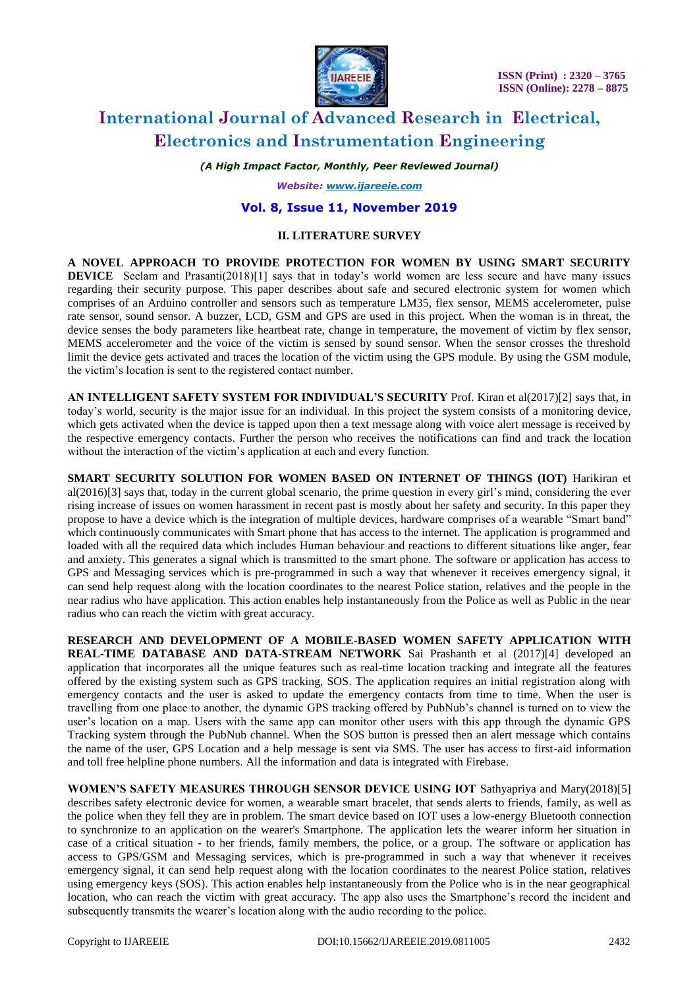

*(A High Impact Factor, Monthly, Peer Reviewed Journal)*

*Website: [www.ijareeie.com](http://www.ijareeie.com/)*

#### **Vol. 8, Issue 11, November 2019**

#### **II. LITERATURE SURVEY**

**A NOVEL APPROACH TO PROVIDE PROTECTION FOR WOMEN BY USING SMART SECURITY DEVICE** Seelam and Prasanti(2018)[1] says that in today's world women are less secure and have many issues regarding their security purpose. This paper describes about safe and secured electronic system for women which comprises of an Arduino controller and sensors such as temperature LM35, flex sensor, MEMS accelerometer, pulse rate sensor, sound sensor. A buzzer, LCD, GSM and GPS are used in this project. When the woman is in threat, the device senses the body parameters like heartbeat rate, change in temperature, the movement of victim by flex sensor, MEMS accelerometer and the voice of the victim is sensed by sound sensor. When the sensor crosses the threshold limit the device gets activated and traces the location of the victim using the GPS module. By using the GSM module, the victim's location is sent to the registered contact number.

**AN INTELLIGENT SAFETY SYSTEM FOR INDIVIDUAL'S SECURITY** Prof. Kiran et al(2017)[2] says that, in today's world, security is the major issue for an individual. In this project the system consists of a monitoring device, which gets activated when the device is tapped upon then a text message along with voice alert message is received by the respective emergency contacts. Further the person who receives the notifications can find and track the location without the interaction of the victim's application at each and every function.

**SMART SECURITY SOLUTION FOR WOMEN BASED ON INTERNET OF THINGS (IOT)** Harikiran et al(2016)[3] says that, today in the current global scenario, the prime question in every girl's mind, considering the ever rising increase of issues on women harassment in recent past is mostly about her safety and security. In this paper they propose to have a device which is the integration of multiple devices, hardware comprises of a wearable "Smart band" which continuously communicates with Smart phone that has access to the internet. The application is programmed and loaded with all the required data which includes Human behaviour and reactions to different situations like anger, fear and anxiety. This generates a signal which is transmitted to the smart phone. The software or application has access to GPS and Messaging services which is pre-programmed in such a way that whenever it receives emergency signal, it can send help request along with the location coordinates to the nearest Police station, relatives and the people in the near radius who have application. This action enables help instantaneously from the Police as well as Public in the near radius who can reach the victim with great accuracy.

**RESEARCH AND DEVELOPMENT OF A MOBILE-BASED WOMEN SAFETY APPLICATION WITH REAL-TIME DATABASE AND DATA-STREAM NETWORK** Sai Prashanth et al (2017)[4] developed an application that incorporates all the unique features such as real-time location tracking and integrate all the features offered by the existing system such as GPS tracking, SOS. The application requires an initial registration along with emergency contacts and the user is asked to update the emergency contacts from time to time. When the user is travelling from one place to another, the dynamic GPS tracking offered by PubNub's channel is turned on to view the user's location on a map. Users with the same app can monitor other users with this app through the dynamic GPS Tracking system through the PubNub channel. When the SOS button is pressed then an alert message which contains the name of the user, GPS Location and a help message is sent via SMS. The user has access to first-aid information and toll free helpline phone numbers. All the information and data is integrated with Firebase.

**WOMEN'S SAFETY MEASURES THROUGH SENSOR DEVICE USING IOT** Sathyapriya and Mary(2018)[5] describes safety electronic device for women, a wearable smart bracelet, that sends alerts to friends, family, as well as the police when they fell they are in problem. The smart device based on IOT uses a low-energy Bluetooth connection to synchronize to an application on the wearer's Smartphone. The application lets the wearer inform her situation in case of a critical situation - to her friends, family members, the police, or a group. The software or application has access to GPS/GSM and Messaging services, which is pre-programmed in such a way that whenever it receives emergency signal, it can send help request along with the location coordinates to the nearest Police station, relatives using emergency keys (SOS). This action enables help instantaneously from the Police who is in the near geographical location, who can reach the victim with great accuracy. The app also uses the Smartphone's record the incident and subsequently transmits the wearer's location along with the audio recording to the police.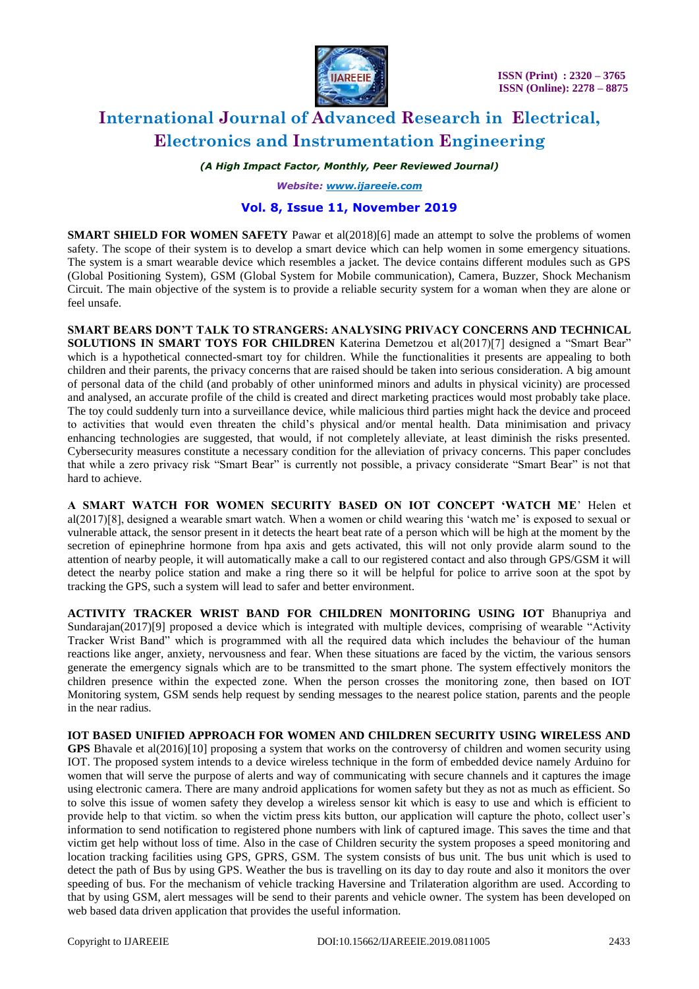

*(A High Impact Factor, Monthly, Peer Reviewed Journal)*

*Website: [www.ijareeie.com](http://www.ijareeie.com/)*

### **Vol. 8, Issue 11, November 2019**

**SMART SHIELD FOR WOMEN SAFETY** Pawar et al(2018)[6] made an attempt to solve the problems of women safety. The scope of their system is to develop a smart device which can help women in some emergency situations. The system is a smart wearable device which resembles a jacket. The device contains different modules such as GPS (Global Positioning System), GSM (Global System for Mobile communication), Camera, Buzzer, Shock Mechanism Circuit. The main objective of the system is to provide a reliable security system for a woman when they are alone or feel unsafe.

**SMART BEARS DON'T TALK TO STRANGERS: ANALYSING PRIVACY CONCERNS AND TECHNICAL SOLUTIONS IN SMART TOYS FOR CHILDREN** Katerina Demetzou et al(2017)[7] designed a "Smart Bear" which is a hypothetical connected-smart toy for children. While the functionalities it presents are appealing to both children and their parents, the privacy concerns that are raised should be taken into serious consideration. A big amount of personal data of the child (and probably of other uninformed minors and adults in physical vicinity) are processed and analysed, an accurate profile of the child is created and direct marketing practices would most probably take place. The toy could suddenly turn into a surveillance device, while malicious third parties might hack the device and proceed to activities that would even threaten the child's physical and/or mental health. Data minimisation and privacy enhancing technologies are suggested, that would, if not completely alleviate, at least diminish the risks presented. Cybersecurity measures constitute a necessary condition for the alleviation of privacy concerns. This paper concludes that while a zero privacy risk "Smart Bear" is currently not possible, a privacy considerate "Smart Bear" is not that hard to achieve.

**A SMART WATCH FOR WOMEN SECURITY BASED ON IOT CONCEPT 'WATCH ME**' Helen et al(2017)[8], designed a wearable smart watch. When a women or child wearing this 'watch me' is exposed to sexual or vulnerable attack, the sensor present in it detects the heart beat rate of a person which will be high at the moment by the secretion of epinephrine hormone from hpa axis and gets activated, this will not only provide alarm sound to the attention of nearby people, it will automatically make a call to our registered contact and also through GPS/GSM it will detect the nearby police station and make a ring there so it will be helpful for police to arrive soon at the spot by tracking the GPS, such a system will lead to safer and better environment.

**ACTIVITY TRACKER WRIST BAND FOR CHILDREN MONITORING USING IOT** Bhanupriya and Sundarajan(2017)[9] proposed a device which is integrated with multiple devices, comprising of wearable "Activity" Tracker Wrist Band" which is programmed with all the required data which includes the behaviour of the human reactions like anger, anxiety, nervousness and fear. When these situations are faced by the victim, the various sensors generate the emergency signals which are to be transmitted to the smart phone. The system effectively monitors the children presence within the expected zone. When the person crosses the monitoring zone, then based on IOT Monitoring system, GSM sends help request by sending messages to the nearest police station, parents and the people in the near radius.

**IOT BASED UNIFIED APPROACH FOR WOMEN AND CHILDREN SECURITY USING WIRELESS AND**  GPS Bhavale et al(2016)[10] proposing a system that works on the controversy of children and women security using IOT. The proposed system intends to a device wireless technique in the form of embedded device namely Arduino for women that will serve the purpose of alerts and way of communicating with secure channels and it captures the image using electronic camera. There are many android applications for women safety but they as not as much as efficient. So to solve this issue of women safety they develop a wireless sensor kit which is easy to use and which is efficient to provide help to that victim. so when the victim press kits button, our application will capture the photo, collect user's information to send notification to registered phone numbers with link of captured image. This saves the time and that victim get help without loss of time. Also in the case of Children security the system proposes a speed monitoring and location tracking facilities using GPS, GPRS, GSM. The system consists of bus unit. The bus unit which is used to detect the path of Bus by using GPS. Weather the bus is travelling on its day to day route and also it monitors the over speeding of bus. For the mechanism of vehicle tracking Haversine and Trilateration algorithm are used. According to that by using GSM, alert messages will be send to their parents and vehicle owner. The system has been developed on web based data driven application that provides the useful information.